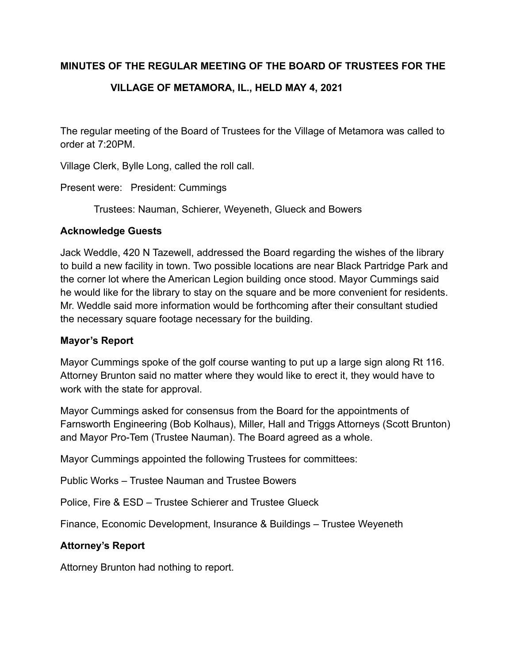# **MINUTES OF THE REGULAR MEETING OF THE BOARD OF TRUSTEES FOR THE**

# **VILLAGE OF METAMORA, IL., HELD MAY 4, 2021**

The regular meeting of the Board of Trustees for the Village of Metamora was called to order at 7:20PM.

Village Clerk, Bylle Long, called the roll call.

Present were: President: Cummings

Trustees: Nauman, Schierer, Weyeneth, Glueck and Bowers

### **Acknowledge Guests**

Jack Weddle, 420 N Tazewell, addressed the Board regarding the wishes of the library to build a new facility in town. Two possible locations are near Black Partridge Park and the corner lot where the American Legion building once stood. Mayor Cummings said he would like for the library to stay on the square and be more convenient for residents. Mr. Weddle said more information would be forthcoming after their consultant studied the necessary square footage necessary for the building.

# **Mayor's Report**

Mayor Cummings spoke of the golf course wanting to put up a large sign along Rt 116. Attorney Brunton said no matter where they would like to erect it, they would have to work with the state for approval.

Mayor Cummings asked for consensus from the Board for the appointments of Farnsworth Engineering (Bob Kolhaus), Miller, Hall and Triggs Attorneys (Scott Brunton) and Mayor Pro-Tem (Trustee Nauman). The Board agreed as a whole.

Mayor Cummings appointed the following Trustees for committees:

Public Works – Trustee Nauman and Trustee Bowers

Police, Fire & ESD – Trustee Schierer and Trustee Glueck

Finance, Economic Development, Insurance & Buildings – Trustee Weyeneth

# **Attorney's Report**

Attorney Brunton had nothing to report.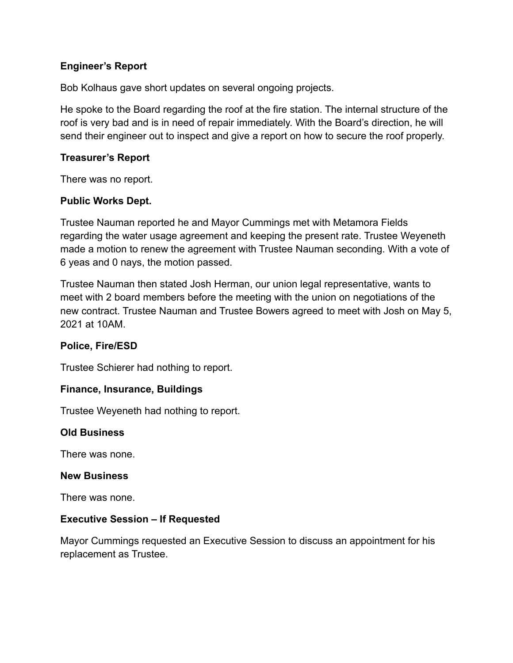# **Engineer's Report**

Bob Kolhaus gave short updates on several ongoing projects.

He spoke to the Board regarding the roof at the fire station. The internal structure of the roof is very bad and is in need of repair immediately. With the Board's direction, he will send their engineer out to inspect and give a report on how to secure the roof properly.

### **Treasurer's Report**

There was no report.

### **Public Works Dept.**

Trustee Nauman reported he and Mayor Cummings met with Metamora Fields regarding the water usage agreement and keeping the present rate. Trustee Weyeneth made a motion to renew the agreement with Trustee Nauman seconding. With a vote of 6 yeas and 0 nays, the motion passed.

Trustee Nauman then stated Josh Herman, our union legal representative, wants to meet with 2 board members before the meeting with the union on negotiations of the new contract. Trustee Nauman and Trustee Bowers agreed to meet with Josh on May 5, 2021 at 10AM.

#### **Police, Fire/ESD**

Trustee Schierer had nothing to report.

#### **Finance, Insurance, Buildings**

Trustee Weyeneth had nothing to report.

#### **Old Business**

There was none.

#### **New Business**

There was none.

#### **Executive Session – If Requested**

Mayor Cummings requested an Executive Session to discuss an appointment for his replacement as Trustee.